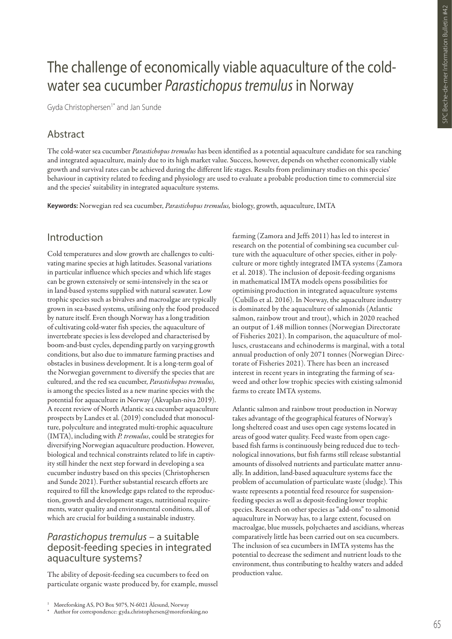# The challenge of economically viable aquaculture of the coldwater sea cucumber *Parastichopus tremulus* in Norway

Gyda Christophersen<sup>1\*</sup> and Jan Sunde

## Abstract

The cold-water sea cucumber *Parastichopus tremulus* has been identified as a potential aquaculture candidate for sea ranching and integrated aquaculture, mainly due to its high market value. Success, however, depends on whether economically viable growth and survival rates can be achieved during the different life stages. Results from preliminary studies on this species' behaviour in captivity related to feeding and physiology are used to evaluate a probable production time to commercial size and the species' suitability in integrated aquaculture systems.

**Keywords:** Norwegian red sea cucumber, *Parastichopus tremulus,* biology, growth, aquaculture, IMTA

#### Introduction

Cold temperatures and slow growth are challenges to cultivating marine species at high latitudes. Seasonal variations in particular influence which species and which life stages can be grown extensively or semi-intensively in the sea or in land-based systems supplied with natural seawater. Low trophic species such as bivalves and macroalgae are typically grown in sea-based systems, utilising only the food produced by nature itself. Even though Norway has a long tradition of cultivating cold-water fish species, the aquaculture of invertebrate species is less developed and characterised by boom-and-bust cycles, depending partly on varying growth conditions, but also due to immature farming practises and obstacles in business development. It is a long-term goal of the Norwegian government to diversify the species that are cultured, and the red sea cucumber, *Parastichopus tremulus,*  is among the species listed as a new marine species with the potential for aquaculture in Norway (Akvaplan-niva 2019). A recent review of North Atlantic sea cucumber aquaculture prospects by Landes et al. (2019) concluded that monoculture, polyculture and integrated multi-trophic aquaculture (IMTA), including with *P. tremulus*, could be strategies for diversifying Norwegian aquaculture production. However, biological and technical constraints related to life in captivity still hinder the next step forward in developing a sea cucumber industry based on this species (Christophersen and Sunde 2021). Further substantial research efforts are required to fill the knowledge gaps related to the reproduction, growth and development stages, nutritional requirements, water quality and environmental conditions, all of which are crucial for building a sustainable industry.

#### *Parastichopus tremulus* – a suitable deposit-feeding species in integrated aquaculture systems?

The ability of deposit-feeding sea cucumbers to feed on particulate organic waste produced by, for example, mussel farming (Zamora and Jeffs 2011) has led to interest in research on the potential of combining sea cucumber culture with the aquaculture of other species, either in polyculture or more tightly integrated IMTA systems (Zamora et al. 2018). The inclusion of deposit-feeding organisms in mathematical IMTA models opens possibilities for optimising production in integrated aquaculture systems (Cubillo et al. 2016). In Norway, the aquaculture industry is dominated by the aquaculture of salmonids (Atlantic salmon, rainbow trout and trout), which in 2020 reached an output of 1.48 million tonnes (Norwegian Directorate of Fisheries 2021). In comparison, the aquaculture of molluscs, crustaceans and echinoderms is marginal, with a total annual production of only 2071 tonnes (Norwegian Directorate of Fisheries 2021). There has been an increased interest in recent years in integrating the farming of seaweed and other low trophic species with existing salmonid farms to create IMTA systems.

Atlantic salmon and rainbow trout production in Norway takes advantage of the geographical features of Norway's long sheltered coast and uses open cage systems located in areas of good water quality. Feed waste from open cagebased fish farms is continuously being reduced due to technological innovations, but fish farms still release substantial amounts of dissolved nutrients and particulate matter annually. In addition, land-based aquaculture systems face the problem of accumulation of particulate waste (sludge). This waste represents a potential feed resource for suspensionfeeding species as well as deposit-feeding lower trophic species. Research on other species as "add-ons" to salmonid aquaculture in Norway has, to a large extent, focused on macroalgae, blue mussels, polychaetes and ascidians, whereas comparatively little has been carried out on sea cucumbers. The inclusion of sea cucumbers in IMTA systems has the potential to decrease the sediment and nutrient loads to the environment, thus contributing to healthy waters and added production value.

Møreforsking AS, PO Box 5075, N-6021 Ålesund, Norway

Author for correspondence: gyda.christophersen@moreforsking.no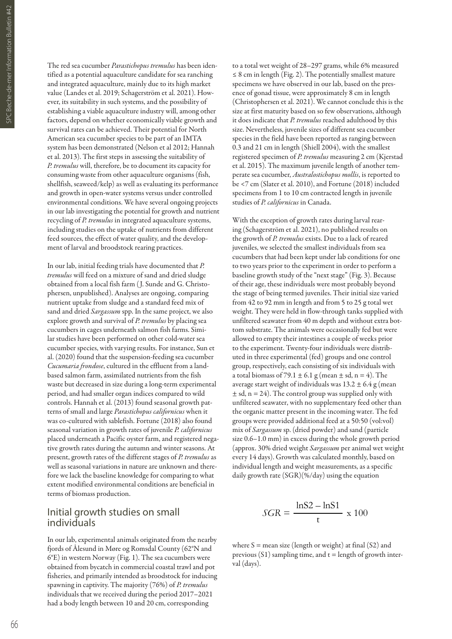The red sea cucumber *Parastichopus tremulus* has been identified as a potential aquaculture candidate for sea ranching and integrated aquaculture, mainly due to its high market value (Landes et al. 2019; Schagerström et al. 2021). However, its suitability in such systems, and the possibility of establishing a viable aquaculture industry will, among other factors, depend on whether economically viable growth and survival rates can be achieved. Their potential for North American sea cucumber species to be part of an IMTA system has been demonstrated (Nelson et al 2012; Hannah et al. 2013). The first steps in assessing the suitability of *P. tremulus* will, therefore, be to document its capacity for consuming waste from other aquaculture organisms (fish, shellfish, seaweed/kelp) as well as evaluating its performance and growth in open-water systems versus under controlled environmental conditions. We have several ongoing projects in our lab investigating the potential for growth and nutrient recycling of *P. tremulus* in integrated aquaculture systems, including studies on the uptake of nutrients from different feed sources, the effect of water quality, and the development of larval and broodstock rearing practices.

In our lab, initial feeding trials have documented that *P. tremulus* will feed on a mixture of sand and dried sludge obtained from a local fish farm ( J. Sunde and G. Christophersen, unpublished). Analyses are ongoing, comparing nutrient uptake from sludge and a standard feed mix of sand and dried *Sargassum* spp. In the same project, we also explore growth and survival of *P. tremulus* by placing sea cucumbers in cages underneath salmon fish farms. Similar studies have been performed on other cold-water sea cucumber species, with varying results. For instance, Sun et al. (2020) found that the suspension-feeding sea cucumber *Cucumaria frondose*, cultured in the effluent from a landbased salmon farm, assimilated nutrients from the fish waste but decreased in size during a long-term experimental period, and had smaller organ indices compared to wild controls. Hannah et al. (2013) found seasonal growth patterns of small and large *Parastichopus californicus* when it was co-cultured with sablefish. Fortune (2018) also found seasonal variation in growth rates of juvenile *P. californicus* placed underneath a Pacific oyster farm, and registered negative growth rates during the autumn and winter seasons. At present, growth rates of the different stages of *P. tremulus* as well as seasonal variations in nature are unknown and therefore we lack the baseline knowledge for comparing to what extent modified environmental conditions are beneficial in terms of biomass production.

#### Initial growth studies on small individuals

In our lab, experimental animals originated from the nearby fjords of Ålesund in Møre og Romsdal County (62°N and 6°E) in western Norway (Fig. 1). The sea cucumbers were obtained from bycatch in commercial coastal trawl and pot fisheries, and primarily intended as broodstock for inducing spawning in captivity. The majority (76%) of *P. tremulus* individuals that we received during the period 2017–2021 had a body length between 10 and 20 cm, corresponding

to a total wet weight of 28–297 grams, while 6% measured  $\leq$  8 cm in length (Fig. 2). The potentially smallest mature specimens we have observed in our lab, based on the presence of gonad tissue, were approximately 8 cm in length (Christophersen et al. 2021). We cannot conclude this is the size at first maturity based on so few observations, although it does indicate that *P. tremulus* reached adulthood by this size. Nevertheless, juvenile sizes of different sea cucumber species in the field have been reported as ranging between 0.3 and 21 cm in length (Shiell 2004), with the smallest registered specimen of *P. tremulus* measuring 2 cm (Kjerstad et al. 2015). The maximum juvenile length of another temperate sea cucumber, *Australostichopus mollis*, is reported to be <7 cm (Slater et al. 2010), and Fortune (2018) included specimens from 1 to 10 cm contracted length in juvenile studies of *P. californicus* in Canada.

With the exception of growth rates during larval rearing (Schagerström et al. 2021), no published results on the growth of *P. tremulus* exists. Due to a lack of reared juveniles, we selected the smallest individuals from sea cucumbers that had been kept under lab conditions for one to two years prior to the experiment in order to perform a baseline growth study of the "next stage" (Fig. 3). Because of their age, these individuals were most probably beyond the stage of being termed juveniles. Their initial size varied from 42 to 92 mm in length and from 5 to 25 g total wet weight. They were held in flow-through tanks supplied with unfiltered seawater from 40 m depth and without extra bottom substrate. The animals were occasionally fed but were allowed to empty their intestines a couple of weeks prior to the experiment. Twenty-four individuals were distributed in three experimental (fed) groups and one control group, respectively, each consisting of six individuals with a total biomass of 79.1  $\pm$  6.1 g (mean  $\pm$  sd, n = 4). The average start weight of individuals was  $13.2 \pm 6.4$  g (mean  $±$  sd, n = 24). The control group was supplied only with unfiltered seawater, with no supplementary feed other than the organic matter present in the incoming water. The fed groups were provided additional feed at a 50:50 (vol:vol) mix of *Sargassum* sp. (dried powder) and sand (particle size 0.6–1.0 mm) in excess during the whole growth period (approx. 30% dried weight *Sargassum* per animal wet weight every 14 days). Growth was calculated monthly, based on individual length and weight measurements, as a specific daily growth rate (SGR)(%/day) using the equation

$$
SGR = \frac{\ln S2 - \ln S1}{t} \times 100
$$

where  $S =$  mean size (length or weight) at final (S2) and previous  $(S1)$  sampling time, and  $t =$  length of growth interval (days).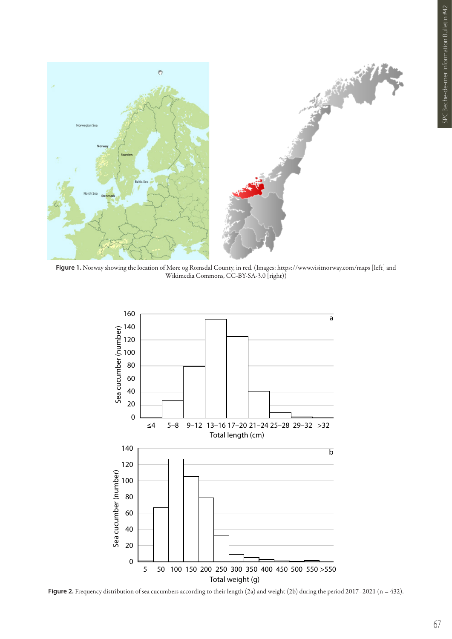

**Figure 1.** Norway showing the location of Møre og Romsdal County, in red. (Images: https://www.visitnorway.com/maps [left] and Wikimedia Commons, CC-BY-SA-3.0 [right))



Figure 2. Frequency distribution of sea cucumbers according to their length (2a) and weight (2b) during the period 2017–2021 (n = 432).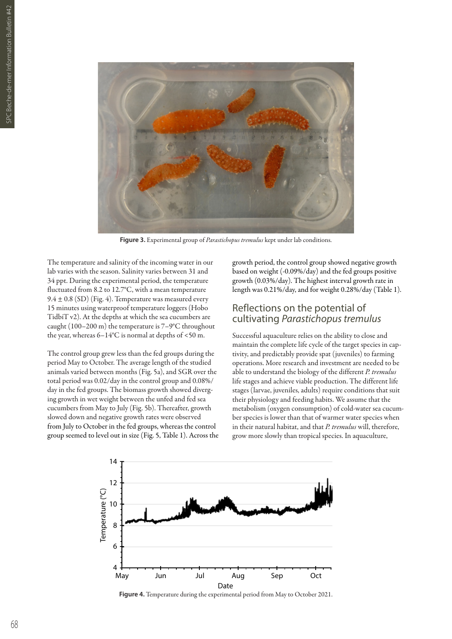

**Figure 3.** Experimental group of *Parastichopus tremulus* kept under lab conditions.

The temperature and salinity of the incoming water in our lab varies with the season. Salinity varies between 31 and 34 ppt. During the experimental period, the temperature fluctuated from 8.2 to 12.7°C, with a mean temperature  $9.4 \pm 0.8$  (SD) (Fig. 4). Temperature was measured every 15 minutes using waterproof temperature loggers (Hobo TidbiT v2). At the depths at which the sea cucumbers are caught (100–200 m) the temperature is 7–9°C throughout the year, whereas  $6-14^{\circ}$ C is normal at depths of <50 m.

The control group grew less than the fed groups during the period May to October. The average length of the studied animals varied between months (Fig. 5a), and SGR over the total period was 0.02/day in the control group and 0.08%/ day in the fed groups. The biomass growth showed diverging growth in wet weight between the unfed and fed sea cucumbers from May to July (Fig. 5b). Thereafter, growth slowed down and negative growth rates were observed from July to October in the fed groups, whereas the control group seemed to level out in size (Fig. 5, Table 1). Across the growth period, the control group showed negative growth based on weight (-0.09%/day) and the fed groups positive growth (0.03%/day). The highest interval growth rate in length was 0.21%/day, and for weight 0.28%/day (Table 1).

#### Reflections on the potential of cultivating *Parastichopus tremulus*

Successful aquaculture relies on the ability to close and maintain the complete life cycle of the target species in captivity, and predictably provide spat (juveniles) to farming operations. More research and investment are needed to be able to understand the biology of the different *P. tremulus* life stages and achieve viable production. The different life stages (larvae, juveniles, adults) require conditions that suit their physiology and feeding habits. We assume that the metabolism (oxygen consumption) of cold-water sea cucumber species is lower than that of warmer water species when in their natural habitat, and that *P. tremulus* will, therefore, grow more slowly than tropical species. In aquaculture,



**Figure 4.** Temperature during the experimental period from May to October 2021.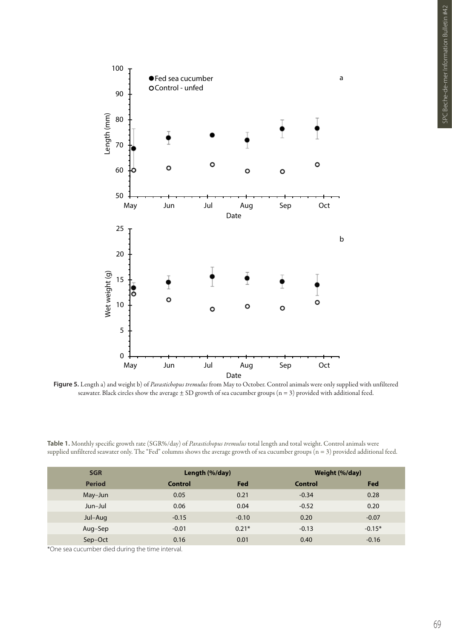

**Figure 5.** Length a) and weight b) of *Parastichopus tremulus* from May to October. Control animals were only supplied with unfiltered seawater. Black circles show the average  $\pm$  SD growth of sea cucumber groups (n = 3) provided with additional feed.

**Table 1.** Monthly specific growth rate (SGR%/day) of *Parastichopus tremulus* total length and total weight. Control animals were supplied unfiltered seawater only. The "Fed" columns shows the average growth of sea cucumber groups (n = 3) provided additional feed.

| <b>SGR</b>    | Length (%/day) |         | Weight (%/day) |          |
|---------------|----------------|---------|----------------|----------|
| <b>Period</b> | Control        | Fed     | <b>Control</b> | Fed      |
| May-Jun       | 0.05           | 0.21    | $-0.34$        | 0.28     |
| Jun-Jul       | 0.06           | 0.04    | $-0.52$        | 0.20     |
| Jul-Aug       | $-0.15$        | $-0.10$ | 0.20           | $-0.07$  |
| Aug-Sep       | $-0.01$        | $0.21*$ | $-0.13$        | $-0.15*$ |
| Sep-Oct       | 0.16           | 0.01    | 0.40           | $-0.16$  |

\*One sea cucumber died during the time interval.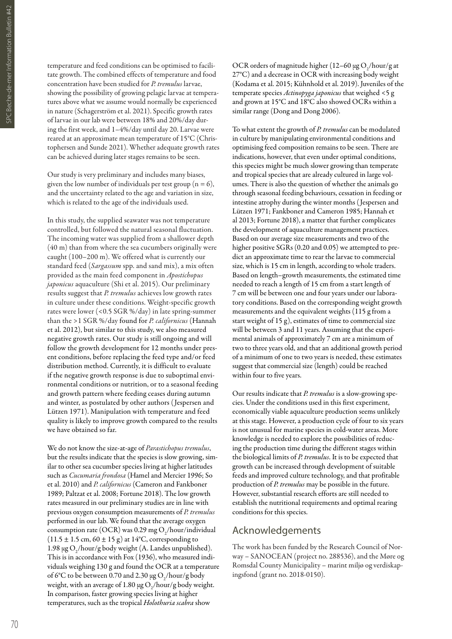temperature and feed conditions can be optimised to facilitate growth. The combined effects of temperature and food concentration have been studied for *P. tremulus* larvae, showing the possibility of growing pelagic larvae at temperatures above what we assume would normally be experienced in nature (Schagerström et al. 2021). Specific growth rates of larvae in our lab were between 18% and 20%/day during the first week, and 1–4%/day until day 20. Larvae were reared at an approximate mean temperature of 15°C (Christophersen and Sunde 2021). Whether adequate growth rates can be achieved during later stages remains to be seen.

Our study is very preliminary and includes many biases, given the low number of individuals per test group ( $n = 6$ ), and the uncertainty related to the age and variation in size, which is related to the age of the individuals used.

In this study, the supplied seawater was not temperature controlled, but followed the natural seasonal fluctuation. The incoming water was supplied from a shallower depth (40 m) than from where the sea cucumbers originally were caught (100–200 m). We offered what is currently our standard feed (*Sargassum* spp. and sand mix), a mix often provided as the main feed component in *Apostichopus japonicus* aquaculture (Shi et al. 2015). Our preliminary results suggest that *P. tremulus* achieves low growth rates in culture under these conditions. Weight-specific growth rates were lower (<0.5 SGR %/day) in late spring-summer than the >1 SGR %/day found for *P. californicus* (Hannah et al. 2012), but similar to this study, we also measured negative growth rates. Our study is still ongoing and will follow the growth development for 12 months under present conditions, before replacing the feed type and/or feed distribution method. Currently, it is difficult to evaluate if the negative growth response is due to suboptimal environmental conditions or nutrition, or to a seasonal feeding and growth pattern where feeding ceases during autumn and winter, as postulated by other authors ( Jespersen and Lützen 1971). Manipulation with temperature and feed quality is likely to improve growth compared to the results we have obtained so far.

We do not know the size-at-age of *Parastichopus tremulus*, but the results indicate that the species is slow growing, similar to other sea cucumber species living at higher latitudes such as *Cucumaria frondosa* (Hamel and Mercier 1996; So et al. 2010) and *P. californicus* (Cameron and Fankboner 1989; Paltzat et al. 2008; Fortune 2018). The low growth rates measured in our preliminary studies are in line with previous oxygen consumption measurements of *P. tremulus* performed in our lab. We found that the average oxygen consumption rate (OCR) was 0.29 mg O<sub>2</sub>/hour/individual  $(11.5 \pm 1.5 \text{ cm}, 60 \pm 15 \text{ g})$  at 14°C, corresponding to 1.98  $\mu$ g O<sub>2</sub>/hour/g body weight (A. Landes unpublished). This is in accordance with Fox (1936), who measured individuals weighing 130 g and found the OCR at a temperature of 6°C to be between 0.70 and 2.30  $\mu$ g O<sub>2</sub>/hour/g body weight, with an average of 1.80  $\mu$ g O<sub>2</sub>/hour/g body weight. In comparison, faster growing species living at higher temperatures, such as the tropical *Holothuria scabra* show

OCR orders of magnitude higher (12–60  $\mu$ g O<sub>2</sub>/hour/g at 27°C) and a decrease in OCR with increasing body weight (Kodama et al. 2015; Kühnhold et al. 2019). Juveniles of the temperate species *Actinopyga japonicus* that weighed <5 g and grown at 15°C and 18°C also showed OCRs within a similar range (Dong and Dong 2006).

To what extent the growth of *P. tremulus* can be modulated in culture by manipulating environmental conditions and optimising feed composition remains to be seen. There are indications, however, that even under optimal conditions, this species might be much slower growing than temperate and tropical species that are already cultured in large volumes. There is also the question of whether the animals go through seasonal feeding behaviours, cessation in feeding or intestine atrophy during the winter months ( Jespersen and Lützen 1971; Fankboner and Cameron 1985; Hannah et al 2013; Fortune 2018), a matter that further complicates the development of aquaculture management practices. Based on our average size measurements and two of the higher positive SGRs (0.20 and 0.05) we attempted to predict an approximate time to rear the larvae to commercial size, which is 15 cm in length, according to whole traders. Based on length–growth measurements, the estimated time needed to reach a length of 15 cm from a start length of 7 cm will be between one and four years under our laboratory conditions. Based on the corresponding weight growth measurements and the equivalent weights (115 g from a start weight of 15 g), estimates of time to commercial size will be between 3 and 11 years. Assuming that the experimental animals of approximately 7 cm are a minimum of two to three years old, and that an additional growth period of a minimum of one to two years is needed, these estimates suggest that commercial size (length) could be reached within four to five years.

Our results indicate that *P. tremulus* is a slow-growing species. Under the conditions used in this first experiment, economically viable aquaculture production seems unlikely at this stage. However, a production cycle of four to six years is not unusual for marine species in cold-water areas. More knowledge is needed to explore the possibilities of reducing the production time during the different stages within the biological limits of *P. tremulus*. It is to be expected that growth can be increased through development of suitable feeds and improved culture technology, and that profitable production of *P. tremulus* may be possible in the future. However, substantial research efforts are still needed to establish the nutritional requirements and optimal rearing conditions for this species.

### Acknowledgements

The work has been funded by the Research Council of Norway – SANOCEAN (project no. 288536), and the Møre og Romsdal County Municipality – marint miljø og verdiskapingsfond (grant no. 2018-0150).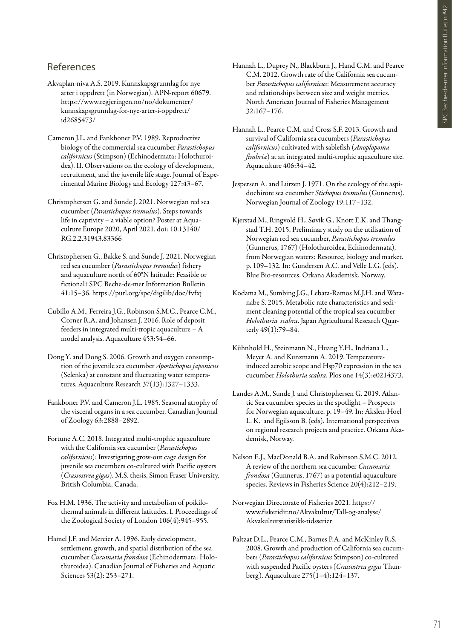## References

- Akvaplan-niva A.S. 2019. Kunnskapsgrunnlag for nye arter i oppdrett (in Norwegian). APN-report 60679. https://www.regjeringen.no/no/dokumenter/ kunnskapsgrunnlag-for-nye-arter-i-oppdrett/ id2685473/
- Cameron J.L. and Fankboner P.V. 1989. Reproductive biology of the commercial sea cucumber *Parastichopus californicus* (Stimpson) (Echinodermata: Holothuroidea). II. Observations on the ecology of development, recruitment, and the juvenile life stage. Journal of Experimental Marine Biology and Ecology 127:43–67.
- Christophersen G. and Sunde J. 2021. Norwegian red sea cucumber (*Parastichopus tremulus*). Steps towards life in captivity – a viable option? Poster at Aquaculture Europe 2020, April 2021. doi: 10.13140/ RG.2.2.31943.83366
- Christophersen G., Bakke S. and Sunde J. 2021. Norwegian red sea cucumber (*Parastichopus tremulus*) fishery and aquaculture north of 60°N latitude: Feasible or fictional? SPC Beche-de-mer Information Bulletin 41:15–36. https://purl.org/spc/digilib/doc/fvfxj
- Cubillo A.M., Ferreira J.G., Robinson S.M.C., Pearce C.M., Corner R.A. and Johansen J. 2016. Role of deposit feeders in integrated multi-tropic aquaculture – A model analysis. Aquaculture 453:54–66.
- Dong Y. and Dong S. 2006. Growth and oxygen consumption of the juvenile sea cucumber *Apostichopus japonicus*  (Selenka) at constant and fluctuating water temperatures. Aquaculture Research 37(13):1327–1333.
- Fankboner P.V. and Cameron J.L. 1985. Seasonal atrophy of the visceral organs in a sea cucumber. Canadian Journal of Zoology 63:2888–2892.
- Fortune A.C. 2018. Integrated multi-trophic aquaculture with the California sea cucumber (*Parastichopus californicus*): Investigating grow-out cage design for juvenile sea cucumbers co-cultured with Pacific oysters (*Crassostrea gigas*). M.S. thesis, Simon Fraser University, British Columbia, Canada.
- Fox H.M. 1936. The activity and metabolism of poikilothermal animals in different latitudes. I. Proceedings of the Zoological Society of London 106(4):945–955.
- Hamel J.F. and Mercier A. 1996. Early development, settlement, growth, and spatial distribution of the sea cucumber *Cucumaria frondosa* (Echinodermata: Holothuroidea). Canadian Journal of Fisheries and Aquatic Sciences 53(2): 253–271.
- Hannah L., Duprey N., Blackburn J., Hand C.M. and Pearce C.M. 2012. Growth rate of the California sea cucumber *Parastichopus californicus*: Measurement accuracy and relationships between size and weight metrics. North American Journal of Fisheries Management 32:167–176.
- Hannah L., Pearce C.M. and Cross S.F. 2013. Growth and survival of California sea cucumbers (*Parastichopus californicus*) cultivated with sablefish (*Anoplopoma fimbria*) at an integrated multi-trophic aquaculture site. Aquaculture 406:34–42.
- Jespersen A. and Lützen J. 1971. On the ecology of the aspidochirote sea cucumber *Stichopus tremulus* (Gunnerus). Norwegian Journal of Zoology 19:117–132.
- Kjerstad M., Ringvold H., Søvik G., Knott E.K. and Thangstad T.H. 2015. Preliminary study on the utilisation of Norwegian red sea cucumber, *Parastichopus tremulus* (Gunnerus, 1767) (Holothuroidea, Echinodermata), from Norwegian waters: Resource, biology and market. p. 109–132. In: Gundersen A.C. and Velle L.G. (eds). Blue Bio-resources. Orkana Akademisk, Norway.
- Kodama M., Sumbing J.G., Lebata-Ramos M.J.H. and Watanabe S. 2015. Metabolic rate characteristics and sediment cleaning potential of the tropical sea cucumber *Holothuria scabra*. Japan Agricultural Research Quarterly 49(1):79–84.
- Kühnhold H., Steinmann N., Huang Y.H., Indriana L., Meyer A. and Kunzmann A. 2019. Temperatureinduced aerobic scope and Hsp70 expression in the sea cucumber *Holothuria scabra*. Plos one 14(3):e0214373.
- Landes A.M., Sunde J. and Christophersen G. 2019. Atlantic Sea cucumber species in the spotlight – Prospects for Norwegian aquaculture. p. 19–49. In: Akslen-Hoel L. K. and Egilsson B. (eds). International perspectives on regional research projects and practice. Orkana Akademisk, Norway.
- Nelson E.J., MacDonald B.A. and Robinson S.M.C. 2012. A review of the northern sea cucumber *Cucumaria frondosa* (Gunnerus, 1767) as a potential aquaculture species. Reviews in Fisheries Science 20(4):212–219.
- Norwegian Directorate of Fisheries 2021. https:// www.fiskeridir.no/Akvakultur/Tall-og-analyse/ Akvakulturstatistikk-tidsserier
- Paltzat D.L., Pearce C.M., Barnes P.A. and McKinley R.S. 2008. Growth and production of California sea cucumbers (*Parastichopus californicus* Stimpson) co-cultured with suspended Pacific oysters (*Crassostrea gigas* Thunberg). Aquaculture 275(1–4):124–137.